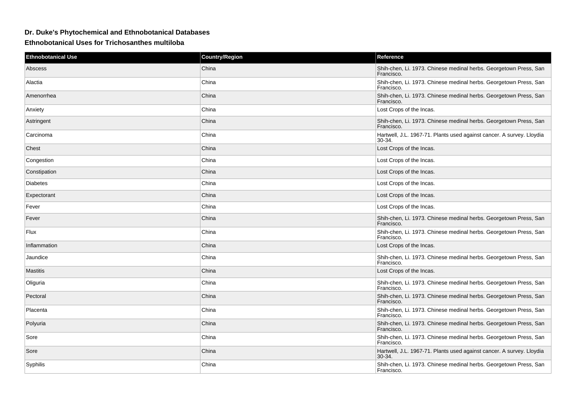## **Dr. Duke's Phytochemical and Ethnobotanical Databases**

**Ethnobotanical Uses for Trichosanthes multiloba**

| <b>Ethnobotanical Use</b> | <b>Country/Region</b> | Reference                                                                       |
|---------------------------|-----------------------|---------------------------------------------------------------------------------|
| Abscess                   | China                 | Shih-chen, Li. 1973. Chinese medinal herbs. Georgetown Press, San<br>Francisco. |
| Alactia                   | China                 | Shih-chen, Li. 1973. Chinese medinal herbs. Georgetown Press, San<br>Francisco. |
| Amenorrhea                | China                 | Shih-chen, Li. 1973. Chinese medinal herbs. Georgetown Press, San<br>Francisco. |
| Anxiety                   | China                 | Lost Crops of the Incas.                                                        |
| Astringent                | China                 | Shih-chen, Li. 1973. Chinese medinal herbs. Georgetown Press, San<br>Francisco. |
| Carcinoma                 | China                 | Hartwell, J.L. 1967-71. Plants used against cancer. A survey. Lloydia<br>30-34. |
| Chest                     | China                 | Lost Crops of the Incas.                                                        |
| Congestion                | China                 | Lost Crops of the Incas.                                                        |
| Constipation              | China                 | Lost Crops of the Incas.                                                        |
| <b>Diabetes</b>           | China                 | Lost Crops of the Incas.                                                        |
| Expectorant               | China                 | Lost Crops of the Incas.                                                        |
| Fever                     | China                 | Lost Crops of the Incas.                                                        |
| Fever                     | China                 | Shih-chen, Li. 1973. Chinese medinal herbs. Georgetown Press, San<br>Francisco. |
| Flux                      | China                 | Shih-chen, Li. 1973. Chinese medinal herbs. Georgetown Press, San<br>Francisco. |
| Inflammation              | China                 | Lost Crops of the Incas.                                                        |
| Jaundice                  | China                 | Shih-chen, Li. 1973. Chinese medinal herbs. Georgetown Press, San<br>Francisco. |
| <b>Mastitis</b>           | China                 | Lost Crops of the Incas.                                                        |
| Oliguria                  | China                 | Shih-chen, Li. 1973. Chinese medinal herbs. Georgetown Press, San<br>Francisco. |
| Pectoral                  | China                 | Shih-chen, Li. 1973. Chinese medinal herbs. Georgetown Press, San<br>Francisco. |
| Placenta                  | China                 | Shih-chen, Li. 1973. Chinese medinal herbs. Georgetown Press, San<br>Francisco. |
| Polyuria                  | China                 | Shih-chen, Li. 1973. Chinese medinal herbs. Georgetown Press, San<br>Francisco. |
| Sore                      | China                 | Shih-chen, Li. 1973. Chinese medinal herbs. Georgetown Press, San<br>Francisco. |
| Sore                      | China                 | Hartwell, J.L. 1967-71. Plants used against cancer. A survey. Lloydia<br>30-34. |
| Syphilis                  | China                 | Shih-chen, Li. 1973. Chinese medinal herbs. Georgetown Press, San<br>Francisco. |